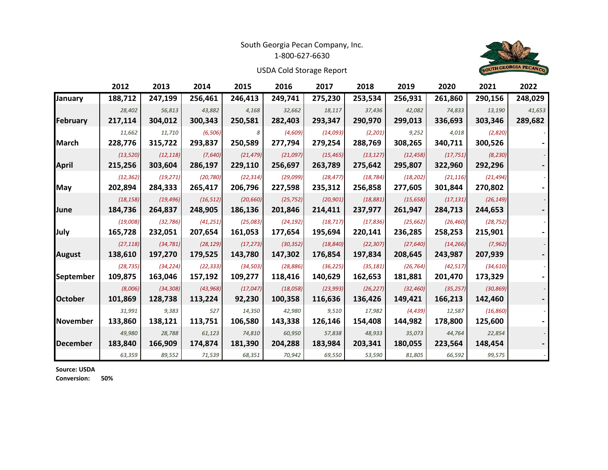## South Georgia Pecan Company, Inc.

1‐800‐627‐6630



USDA Cold Storage Report

|                 | 2012      | 2013      | 2014      | 2015      | 2016      | 2017      | 2018      | 2019      | 2020      | 2021      | 2022    |
|-----------------|-----------|-----------|-----------|-----------|-----------|-----------|-----------|-----------|-----------|-----------|---------|
| January         | 188,712   | 247,199   | 256,461   | 246,413   | 249,741   | 275,230   | 253,534   | 256,931   | 261,860   | 290,156   | 248,029 |
|                 | 28,402    | 56,813    | 43,882    | 4,168     | 32,662    | 18,117    | 37,436    | 42,082    | 74,833    | 13,190    | 41,653  |
| <b>February</b> | 217,114   | 304,012   | 300,343   | 250,581   | 282,403   | 293,347   | 290,970   | 299,013   | 336,693   | 303,346   | 289,682 |
|                 | 11,662    | 11,710    | (6, 506)  | 8         | (4,609)   | (14,093)  | (2,201)   | 9,252     | 4,018     | (2,820)   |         |
| March           | 228,776   | 315,722   | 293,837   | 250,589   | 277,794   | 279,254   | 288,769   | 308,265   | 340,711   | 300,526   |         |
|                 | (13, 520) | (12, 118) | (7,640)   | (21, 479) | (21,097)  | (15, 465) | (13, 127) | (12, 458) | (17, 751) | (8, 230)  |         |
| April           | 215,256   | 303,604   | 286,197   | 229,110   | 256,697   | 263,789   | 275,642   | 295,807   | 322,960   | 292,296   |         |
|                 | (12, 362) | (19, 271) | (20, 780) | (22, 314) | (29,099)  | (28, 477) | (18, 784) | (18, 202) | (21, 116) | (21, 494) |         |
| May             | 202,894   | 284,333   | 265,417   | 206,796   | 227,598   | 235,312   | 256,858   | 277,605   | 301,844   | 270,802   |         |
|                 | (18, 158) | (19, 496) | (16, 512) | (20, 660) | (25, 752) | (20, 901) | (18, 881) | (15, 658) | (17, 131) | (26, 149) |         |
| June            | 184,736   | 264,837   | 248,905   | 186,136   | 201,846   | 214,411   | 237,977   | 261,947   | 284,713   | 244,653   |         |
|                 | (19,008)  | (32, 786) | (41, 251) | (25,083)  | (24, 192) | (18, 717) | (17, 836) | (25, 662) | (26, 460) | (28, 752) |         |
| July            | 165,728   | 232,051   | 207,654   | 161,053   | 177,654   | 195,694   | 220,141   | 236,285   | 258,253   | 215,901   |         |
|                 | (27, 118) | (34, 781) | (28, 129) | (17, 273) | (30, 352) | (18, 840) | (22, 307) | (27, 640) | (14, 266) | (7, 962)  |         |
| August          | 138,610   | 197,270   | 179,525   | 143,780   | 147,302   | 176,854   | 197,834   | 208,645   | 243,987   | 207,939   |         |
|                 | (28, 735) | (34, 224) | (22, 333) | (34, 503) | (28, 886) | (36, 225) | (35, 181) | (26, 764) | (42, 517) | (34, 610) |         |
| September       | 109,875   | 163,046   | 157,192   | 109,277   | 118,416   | 140,629   | 162,653   | 181,881   | 201,470   | 173,329   |         |
|                 | (8,006)   | (34, 308) | (43, 968) | (17, 047) | (18, 058) | (23, 993) | (26, 227) | (32, 460) | (35, 257) | (30, 869) |         |
| <b>October</b>  | 101,869   | 128,738   | 113,224   | 92,230    | 100,358   | 116,636   | 136,426   | 149,421   | 166,213   | 142,460   |         |
|                 | 31,991    | 9,383     | 527       | 14,350    | 42,980    | 9,510     | 17,982    | (4, 439)  | 12,587    | (16, 860) |         |
| <b>November</b> | 133,860   | 138,121   | 113,751   | 106,580   | 143,338   | 126,146   | 154,408   | 144,982   | 178,800   | 125,600   |         |
|                 | 49,980    | 28,788    | 61,123    | 74,810    | 60,950    | 57,838    | 48,933    | 35,073    | 44,764    | 22,854    |         |
| December        | 183,840   | 166,909   | 174,874   | 181,390   | 204,288   | 183,984   | 203,341   | 180,055   | 223,564   | 148,454   |         |
|                 | 63,359    | 89,552    | 71,539    | 68,351    | 70,942    | 69,550    | 53,590    | 81,805    | 66,592    | 99,575    |         |

**Source: USDA**

**Conversion: 50%**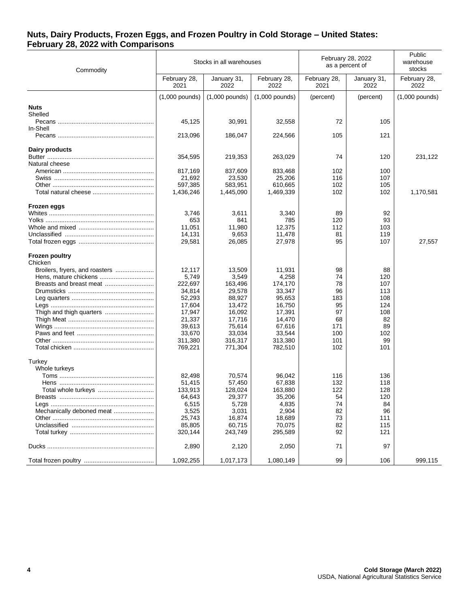## **Nuts, Dairy Products, Frozen Eggs, and Frozen Poultry in Cold Storage – United States: February 28, 2022 with Comparisons**

| Commodity                        |                      | Stocks in all warehouses |                      | February 28, 2022<br>as a percent of | Public<br>warehouse<br>stocks |                      |
|----------------------------------|----------------------|--------------------------|----------------------|--------------------------------------|-------------------------------|----------------------|
|                                  | February 28,<br>2021 | January 31,<br>2022      | February 28,<br>2022 | February 28,<br>2021                 | January 31,<br>2022           | February 28,<br>2022 |
|                                  | $(1,000$ pounds)     | $(1,000$ pounds)         | $(1,000$ pounds)     | (percent)                            | (percent)                     | $(1,000$ pounds)     |
| <b>Nuts</b>                      |                      |                          |                      |                                      |                               |                      |
| Shelled                          |                      |                          |                      |                                      |                               |                      |
|                                  | 45,125               | 30,991                   | 32,558               | 72                                   | 105                           |                      |
| In-Shell                         |                      |                          |                      |                                      |                               |                      |
|                                  | 213,096              | 186,047                  | 224,566              | 105                                  | 121                           |                      |
| Dairy products                   |                      |                          |                      |                                      |                               |                      |
|                                  | 354,595              | 219,353                  | 263,029              | 74                                   | 120                           | 231,122              |
| Natural cheese                   |                      |                          |                      |                                      |                               |                      |
|                                  | 817,169              | 837,609                  | 833,468              | 102                                  | 100                           |                      |
|                                  | 21,692               | 23,530                   | 25,206               | 116                                  | 107                           |                      |
|                                  | 597,385              | 583,951                  | 610,665              | 102                                  | 105                           |                      |
|                                  | 1,436,246            | 1,445,090                | 1,469,339            | 102                                  | 102                           | 1,170,581            |
| Frozen eggs                      |                      |                          |                      |                                      |                               |                      |
|                                  | 3,746                | 3,611                    | 3,340                | 89                                   | 92                            |                      |
|                                  | 653                  | 841                      | 785                  | 120                                  | 93                            |                      |
|                                  | 11,051               | 11,980                   | 12,375               | 112                                  | 103                           |                      |
|                                  | 14,131               | 9,653                    | 11,478               | 81                                   | 119                           |                      |
|                                  | 29,581               | 26,085                   | 27,978               | 95                                   | 107                           | 27,557               |
| <b>Frozen poultry</b><br>Chicken |                      |                          |                      |                                      |                               |                      |
| Broilers, fryers, and roasters   | 12,117               | 13,509                   | 11,931               | 98                                   | 88                            |                      |
|                                  | 5,749                | 3,549                    | 4,258                | 74                                   | 120                           |                      |
|                                  | 222,697              | 163,496                  | 174,170              | 78                                   | 107                           |                      |
|                                  | 34,814               | 29,578                   | 33,347               | 96                                   | 113                           |                      |
|                                  | 52,293               | 88,927                   | 95,653               | 183                                  | 108                           |                      |
|                                  | 17,604               | 13,472                   | 16,750               | 95                                   | 124                           |                      |
|                                  | 17,947               | 16,092                   | 17,391               | 97                                   | 108                           |                      |
|                                  | 21,337               | 17,716                   | 14,470               | 68                                   | 82                            |                      |
|                                  | 39,613               | 75,614                   | 67,616               | 171                                  | 89                            |                      |
|                                  | 33,670               | 33,034                   | 33,544               | 100                                  | 102                           |                      |
|                                  | 311,380              | 316,317                  | 313,380              | 101                                  | 99                            |                      |
|                                  | 769,221              | 771,304                  | 782,510              | 102                                  | 101                           |                      |
| Turkey                           |                      |                          |                      |                                      |                               |                      |
| Whole turkeys                    |                      |                          |                      |                                      |                               |                      |
|                                  | 82,498               | 70,574                   | 96,042               | 116                                  | 136                           |                      |
|                                  | 51,415               | 57,450                   | 67,838               | 132                                  | 118                           |                      |
|                                  | 133,913              | 128,024                  | 163,880              | 122                                  | 128                           |                      |
|                                  | 64,643               | 29,377                   | 35,206               | 54                                   | 120                           |                      |
|                                  | 6,515                | 5,728                    | 4,835                | 74                                   | 84                            |                      |
| Mechanically deboned meat        | 3,525                | 3,031                    | 2,904                | 82                                   | 96                            |                      |
|                                  | 25,743               | 16,874                   | 18,689               | 73                                   | 111                           |                      |
|                                  | 85,805               | 60,715                   | 70,075               | 82                                   | 115                           |                      |
|                                  | 320,144              | 243,749                  | 295,589              | 92                                   | 121                           |                      |
|                                  | 2,890                | 2,120                    | 2,050                | 71                                   | 97                            |                      |
|                                  | 1,092,255            | 1,017,173                | 1,080,149            | 99                                   | 106                           | 999,115              |